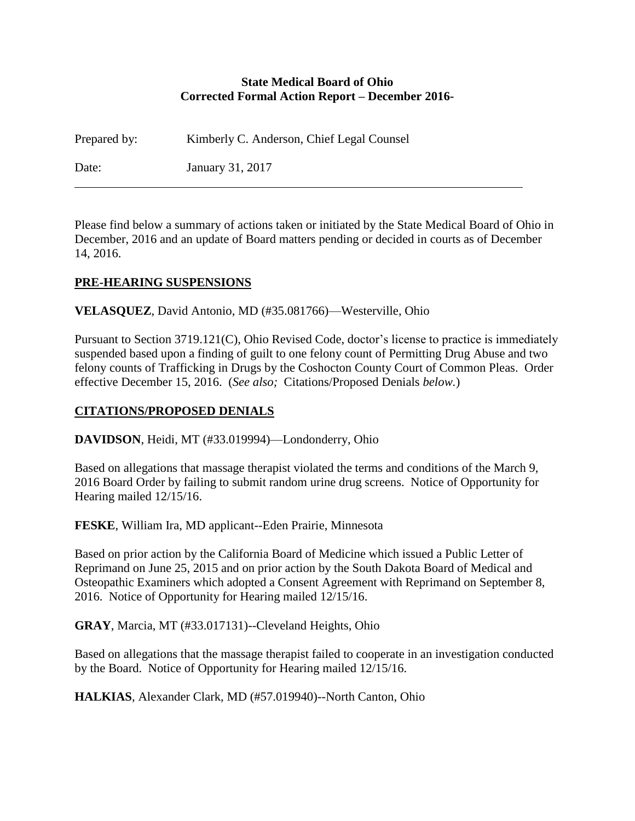#### **State Medical Board of Ohio Corrected Formal Action Report – December 2016-**

Prepared by: Kimberly C. Anderson, Chief Legal Counsel Date: January 31, 2017

Please find below a summary of actions taken or initiated by the State Medical Board of Ohio in December, 2016 and an update of Board matters pending or decided in courts as of December 14, 2016.

### **PRE-HEARING SUSPENSIONS**

**VELASQUEZ**, David Antonio, MD (#35.081766)—Westerville, Ohio

Pursuant to Section 3719.121(C), Ohio Revised Code, doctor's license to practice is immediately suspended based upon a finding of guilt to one felony count of Permitting Drug Abuse and two felony counts of Trafficking in Drugs by the Coshocton County Court of Common Pleas. Order effective December 15, 2016. (*See also;* Citations/Proposed Denials *below.*)

### **CITATIONS/PROPOSED DENIALS**

**DAVIDSON**, Heidi, MT (#33.019994)—Londonderry, Ohio

Based on allegations that massage therapist violated the terms and conditions of the March 9, 2016 Board Order by failing to submit random urine drug screens. Notice of Opportunity for Hearing mailed 12/15/16.

**FESKE**, William Ira, MD applicant--Eden Prairie, Minnesota

Based on prior action by the California Board of Medicine which issued a Public Letter of Reprimand on June 25, 2015 and on prior action by the South Dakota Board of Medical and Osteopathic Examiners which adopted a Consent Agreement with Reprimand on September 8, 2016. Notice of Opportunity for Hearing mailed 12/15/16.

**GRAY**, Marcia, MT (#33.017131)--Cleveland Heights, Ohio

Based on allegations that the massage therapist failed to cooperate in an investigation conducted by the Board. Notice of Opportunity for Hearing mailed 12/15/16.

**HALKIAS**, Alexander Clark, MD (#57.019940)--North Canton, Ohio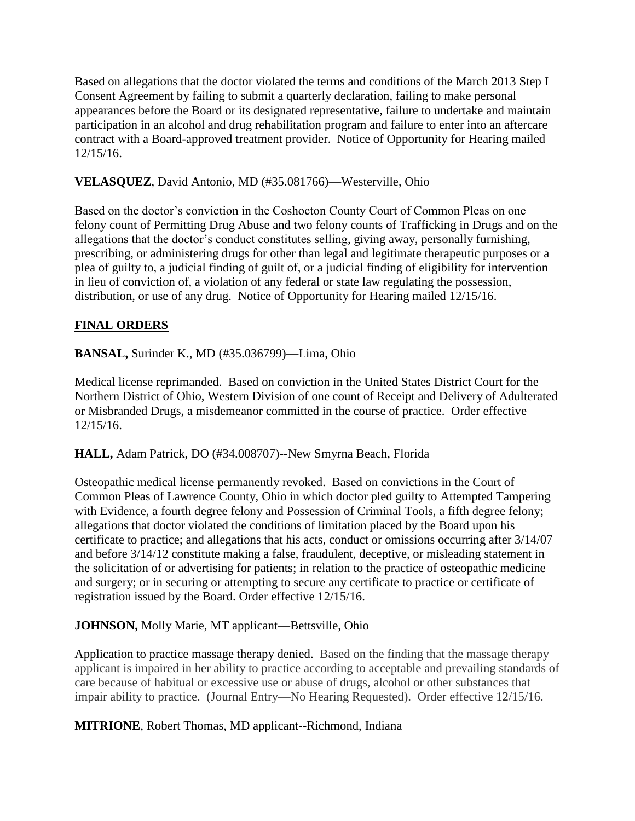Based on allegations that the doctor violated the terms and conditions of the March 2013 Step I Consent Agreement by failing to submit a quarterly declaration, failing to make personal appearances before the Board or its designated representative, failure to undertake and maintain participation in an alcohol and drug rehabilitation program and failure to enter into an aftercare contract with a Board-approved treatment provider. Notice of Opportunity for Hearing mailed 12/15/16.

### **VELASQUEZ**, David Antonio, MD (#35.081766)—Westerville, Ohio

Based on the doctor's conviction in the Coshocton County Court of Common Pleas on one felony count of Permitting Drug Abuse and two felony counts of Trafficking in Drugs and on the allegations that the doctor's conduct constitutes selling, giving away, personally furnishing, prescribing, or administering drugs for other than legal and legitimate therapeutic purposes or a plea of guilty to, a judicial finding of guilt of, or a judicial finding of eligibility for intervention in lieu of conviction of, a violation of any federal or state law regulating the possession, distribution, or use of any drug. Notice of Opportunity for Hearing mailed 12/15/16.

# **FINAL ORDERS**

**BANSAL,** Surinder K., MD (#35.036799)—Lima, Ohio

Medical license reprimanded. Based on conviction in the United States District Court for the Northern District of Ohio, Western Division of one count of Receipt and Delivery of Adulterated or Misbranded Drugs, a misdemeanor committed in the course of practice. Order effective 12/15/16.

**HALL,** Adam Patrick, DO (#34.008707)--New Smyrna Beach, Florida

Osteopathic medical license permanently revoked. Based on convictions in the Court of Common Pleas of Lawrence County, Ohio in which doctor pled guilty to Attempted Tampering with Evidence, a fourth degree felony and Possession of Criminal Tools, a fifth degree felony; allegations that doctor violated the conditions of limitation placed by the Board upon his certificate to practice; and allegations that his acts, conduct or omissions occurring after 3/14/07 and before 3/14/12 constitute making a false, fraudulent, deceptive, or misleading statement in the solicitation of or advertising for patients; in relation to the practice of osteopathic medicine and surgery; or in securing or attempting to secure any certificate to practice or certificate of registration issued by the Board. Order effective 12/15/16.

### **JOHNSON,** Molly Marie, MT applicant—Bettsville, Ohio

Application to practice massage therapy denied. Based on the finding that the massage therapy applicant is impaired in her ability to practice according to acceptable and prevailing standards of care because of habitual or excessive use or abuse of drugs, alcohol or other substances that impair ability to practice. (Journal Entry—No Hearing Requested). Order effective 12/15/16.

**MITRIONE**, Robert Thomas, MD applicant--Richmond, Indiana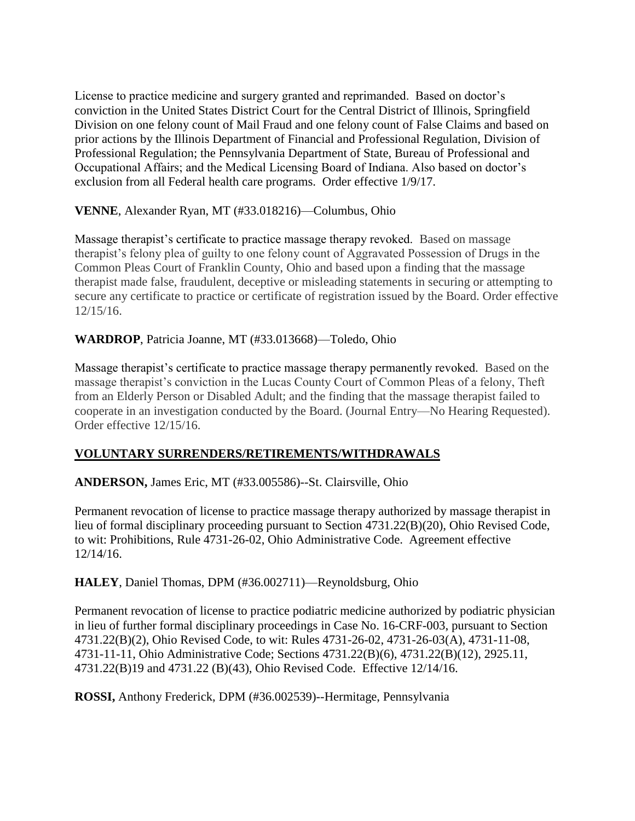License to practice medicine and surgery granted and reprimanded. Based on doctor's conviction in the United States District Court for the Central District of Illinois, Springfield Division on one felony count of Mail Fraud and one felony count of False Claims and based on prior actions by the Illinois Department of Financial and Professional Regulation, Division of Professional Regulation; the Pennsylvania Department of State, Bureau of Professional and Occupational Affairs; and the Medical Licensing Board of Indiana. Also based on doctor's exclusion from all Federal health care programs. Order effective 1/9/17.

### **VENNE**, Alexander Ryan, MT (#33.018216)—Columbus, Ohio

Massage therapist's certificate to practice massage therapy revoked. Based on massage therapist's felony plea of guilty to one felony count of Aggravated Possession of Drugs in the Common Pleas Court of Franklin County, Ohio and based upon a finding that the massage therapist made false, fraudulent, deceptive or misleading statements in securing or attempting to secure any certificate to practice or certificate of registration issued by the Board. Order effective 12/15/16.

### **WARDROP**, Patricia Joanne, MT (#33.013668)—Toledo, Ohio

Massage therapist's certificate to practice massage therapy permanently revoked. Based on the massage therapist's conviction in the Lucas County Court of Common Pleas of a felony, Theft from an Elderly Person or Disabled Adult; and the finding that the massage therapist failed to cooperate in an investigation conducted by the Board. (Journal Entry—No Hearing Requested). Order effective 12/15/16.

# **VOLUNTARY SURRENDERS/RETIREMENTS/WITHDRAWALS**

### **ANDERSON,** James Eric, MT (#33.005586)--St. Clairsville, Ohio

Permanent revocation of license to practice massage therapy authorized by massage therapist in lieu of formal disciplinary proceeding pursuant to Section 4731.22(B)(20), Ohio Revised Code, to wit: Prohibitions, Rule 4731-26-02, Ohio Administrative Code. Agreement effective 12/14/16.

**HALEY**, Daniel Thomas, DPM (#36.002711)—Reynoldsburg, Ohio

Permanent revocation of license to practice podiatric medicine authorized by podiatric physician in lieu of further formal disciplinary proceedings in Case No. 16-CRF-003, pursuant to Section 4731.22(B)(2), Ohio Revised Code, to wit: Rules 4731-26-02, 4731-26-03(A), 4731-11-08, 4731-11-11, Ohio Administrative Code; Sections 4731.22(B)(6), 4731.22(B)(12), 2925.11, 4731.22(B)19 and 4731.22 (B)(43), Ohio Revised Code. Effective 12/14/16.

**ROSSI,** Anthony Frederick, DPM (#36.002539)--Hermitage, Pennsylvania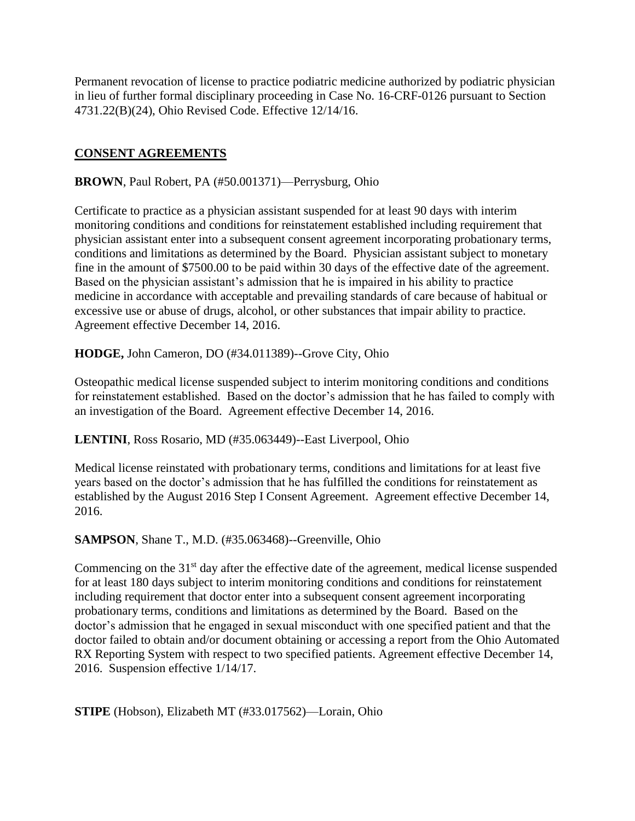Permanent revocation of license to practice podiatric medicine authorized by podiatric physician in lieu of further formal disciplinary proceeding in Case No. 16-CRF-0126 pursuant to Section 4731.22(B)(24), Ohio Revised Code. Effective 12/14/16.

## **CONSENT AGREEMENTS**

#### **BROWN**, Paul Robert, PA (#50.001371)—Perrysburg, Ohio

Certificate to practice as a physician assistant suspended for at least 90 days with interim monitoring conditions and conditions for reinstatement established including requirement that physician assistant enter into a subsequent consent agreement incorporating probationary terms, conditions and limitations as determined by the Board. Physician assistant subject to monetary fine in the amount of \$7500.00 to be paid within 30 days of the effective date of the agreement. Based on the physician assistant's admission that he is impaired in his ability to practice medicine in accordance with acceptable and prevailing standards of care because of habitual or excessive use or abuse of drugs, alcohol, or other substances that impair ability to practice. Agreement effective December 14, 2016.

**HODGE,** John Cameron, DO (#34.011389)--Grove City, Ohio

Osteopathic medical license suspended subject to interim monitoring conditions and conditions for reinstatement established. Based on the doctor's admission that he has failed to comply with an investigation of the Board. Agreement effective December 14, 2016.

**LENTINI**, Ross Rosario, MD (#35.063449)--East Liverpool, Ohio

Medical license reinstated with probationary terms, conditions and limitations for at least five years based on the doctor's admission that he has fulfilled the conditions for reinstatement as established by the August 2016 Step I Consent Agreement. Agreement effective December 14, 2016.

**SAMPSON**, Shane T., M.D. (#35.063468)--Greenville, Ohio

Commencing on the  $31<sup>st</sup>$  day after the effective date of the agreement, medical license suspended for at least 180 days subject to interim monitoring conditions and conditions for reinstatement including requirement that doctor enter into a subsequent consent agreement incorporating probationary terms, conditions and limitations as determined by the Board. Based on the doctor's admission that he engaged in sexual misconduct with one specified patient and that the doctor failed to obtain and/or document obtaining or accessing a report from the Ohio Automated RX Reporting System with respect to two specified patients. Agreement effective December 14, 2016. Suspension effective 1/14/17.

**STIPE** (Hobson), Elizabeth MT (#33.017562)—Lorain, Ohio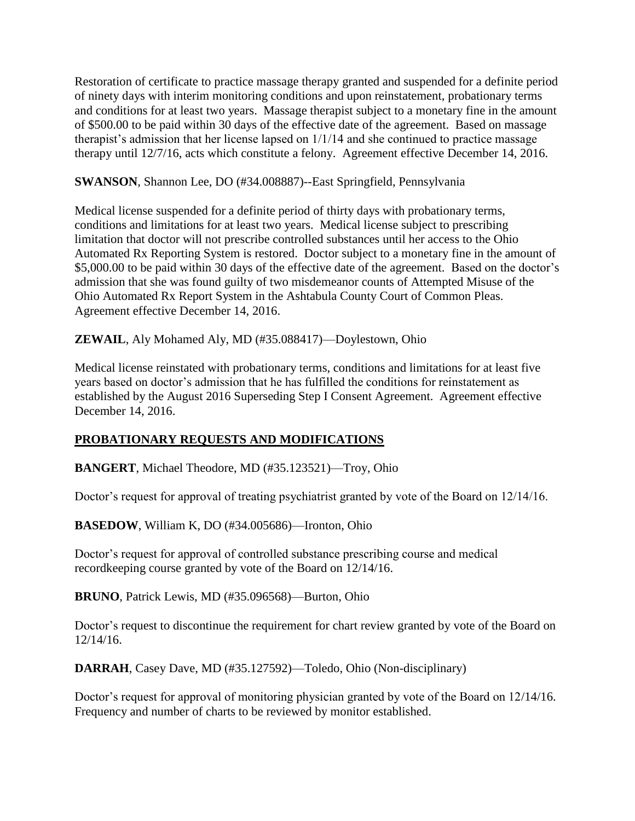Restoration of certificate to practice massage therapy granted and suspended for a definite period of ninety days with interim monitoring conditions and upon reinstatement, probationary terms and conditions for at least two years. Massage therapist subject to a monetary fine in the amount of \$500.00 to be paid within 30 days of the effective date of the agreement. Based on massage therapist's admission that her license lapsed on 1/1/14 and she continued to practice massage therapy until 12/7/16, acts which constitute a felony. Agreement effective December 14, 2016.

#### **SWANSON**, Shannon Lee, DO (#34.008887)--East Springfield, Pennsylvania

Medical license suspended for a definite period of thirty days with probationary terms, conditions and limitations for at least two years. Medical license subject to prescribing limitation that doctor will not prescribe controlled substances until her access to the Ohio Automated Rx Reporting System is restored. Doctor subject to a monetary fine in the amount of \$5,000.00 to be paid within 30 days of the effective date of the agreement. Based on the doctor's admission that she was found guilty of two misdemeanor counts of Attempted Misuse of the Ohio Automated Rx Report System in the Ashtabula County Court of Common Pleas. Agreement effective December 14, 2016.

**ZEWAIL**, Aly Mohamed Aly, MD (#35.088417)—Doylestown, Ohio

Medical license reinstated with probationary terms, conditions and limitations for at least five years based on doctor's admission that he has fulfilled the conditions for reinstatement as established by the August 2016 Superseding Step I Consent Agreement. Agreement effective December 14, 2016.

### **PROBATIONARY REQUESTS AND MODIFICATIONS**

**BANGERT**, Michael Theodore, MD (#35.123521)—Troy, Ohio

Doctor's request for approval of treating psychiatrist granted by vote of the Board on 12/14/16.

**BASEDOW**, William K, DO (#34.005686)—Ironton, Ohio

Doctor's request for approval of controlled substance prescribing course and medical recordkeeping course granted by vote of the Board on 12/14/16.

**BRUNO**, Patrick Lewis, MD (#35.096568)—Burton, Ohio

Doctor's request to discontinue the requirement for chart review granted by vote of the Board on 12/14/16.

**DARRAH**, Casey Dave, MD (#35.127592)—Toledo, Ohio (Non-disciplinary)

Doctor's request for approval of monitoring physician granted by vote of the Board on 12/14/16. Frequency and number of charts to be reviewed by monitor established.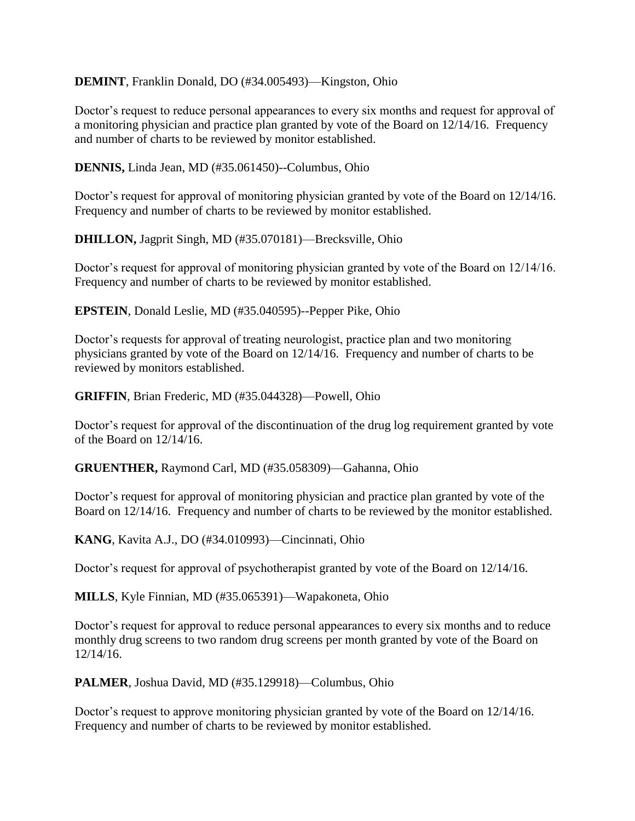**DEMINT**, Franklin Donald, DO (#34.005493)—Kingston, Ohio

Doctor's request to reduce personal appearances to every six months and request for approval of a monitoring physician and practice plan granted by vote of the Board on 12/14/16. Frequency and number of charts to be reviewed by monitor established.

**DENNIS,** Linda Jean, MD (#35.061450)--Columbus, Ohio

Doctor's request for approval of monitoring physician granted by vote of the Board on 12/14/16. Frequency and number of charts to be reviewed by monitor established.

**DHILLON,** Jagprit Singh, MD (#35.070181)—Brecksville, Ohio

Doctor's request for approval of monitoring physician granted by vote of the Board on 12/14/16. Frequency and number of charts to be reviewed by monitor established.

**EPSTEIN**, Donald Leslie, MD (#35.040595)--Pepper Pike, Ohio

Doctor's requests for approval of treating neurologist, practice plan and two monitoring physicians granted by vote of the Board on 12/14/16. Frequency and number of charts to be reviewed by monitors established.

**GRIFFIN**, Brian Frederic, MD (#35.044328)—Powell, Ohio

Doctor's request for approval of the discontinuation of the drug log requirement granted by vote of the Board on 12/14/16.

**GRUENTHER,** Raymond Carl, MD (#35.058309)—Gahanna, Ohio

Doctor's request for approval of monitoring physician and practice plan granted by vote of the Board on 12/14/16. Frequency and number of charts to be reviewed by the monitor established.

**KANG**, Kavita A.J., DO (#34.010993)—Cincinnati, Ohio

Doctor's request for approval of psychotherapist granted by vote of the Board on 12/14/16.

**MILLS**, Kyle Finnian, MD (#35.065391)—Wapakoneta, Ohio

Doctor's request for approval to reduce personal appearances to every six months and to reduce monthly drug screens to two random drug screens per month granted by vote of the Board on 12/14/16.

**PALMER**, Joshua David, MD (#35.129918)—Columbus, Ohio

Doctor's request to approve monitoring physician granted by vote of the Board on 12/14/16. Frequency and number of charts to be reviewed by monitor established.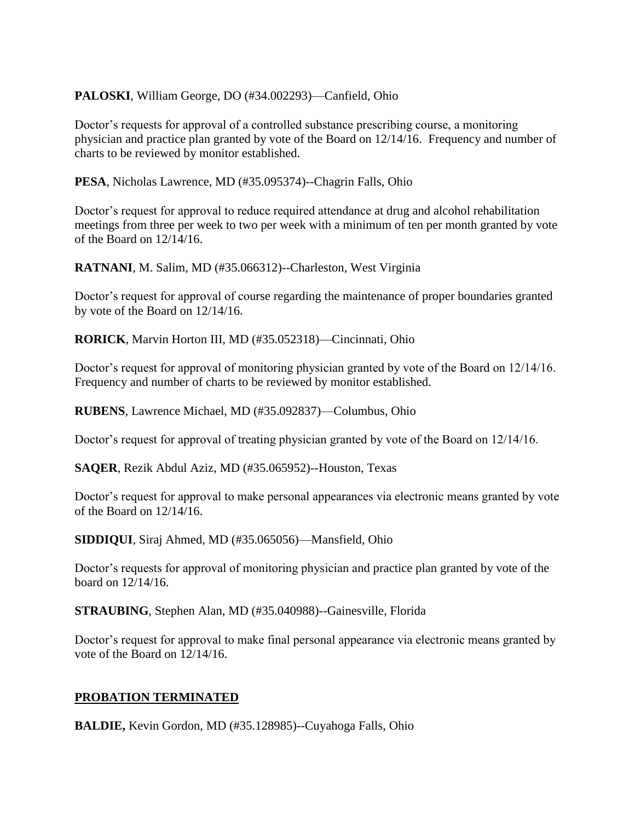### **PALOSKI**, William George, DO (#34.002293)—Canfield, Ohio

Doctor's requests for approval of a controlled substance prescribing course, a monitoring physician and practice plan granted by vote of the Board on 12/14/16. Frequency and number of charts to be reviewed by monitor established.

**PESA**, Nicholas Lawrence, MD (#35.095374)--Chagrin Falls, Ohio

Doctor's request for approval to reduce required attendance at drug and alcohol rehabilitation meetings from three per week to two per week with a minimum of ten per month granted by vote of the Board on 12/14/16.

**RATNANI**, M. Salim, MD (#35.066312)--Charleston, West Virginia

Doctor's request for approval of course regarding the maintenance of proper boundaries granted by vote of the Board on 12/14/16.

**RORICK**, Marvin Horton III, MD (#35.052318)—Cincinnati, Ohio

Doctor's request for approval of monitoring physician granted by vote of the Board on 12/14/16. Frequency and number of charts to be reviewed by monitor established.

**RUBENS**, Lawrence Michael, MD (#35.092837)—Columbus, Ohio

Doctor's request for approval of treating physician granted by vote of the Board on 12/14/16.

**SAQER**, Rezik Abdul Aziz, MD (#35.065952)--Houston, Texas

Doctor's request for approval to make personal appearances via electronic means granted by vote of the Board on 12/14/16.

**SIDDIQUI**, Siraj Ahmed, MD (#35.065056)—Mansfield, Ohio

Doctor's requests for approval of monitoring physician and practice plan granted by vote of the board on 12/14/16.

**STRAUBING**, Stephen Alan, MD (#35.040988)--Gainesville, Florida

Doctor's request for approval to make final personal appearance via electronic means granted by vote of the Board on 12/14/16.

### **PROBATION TERMINATED**

**BALDIE,** Kevin Gordon, MD (#35.128985)--Cuyahoga Falls, Ohio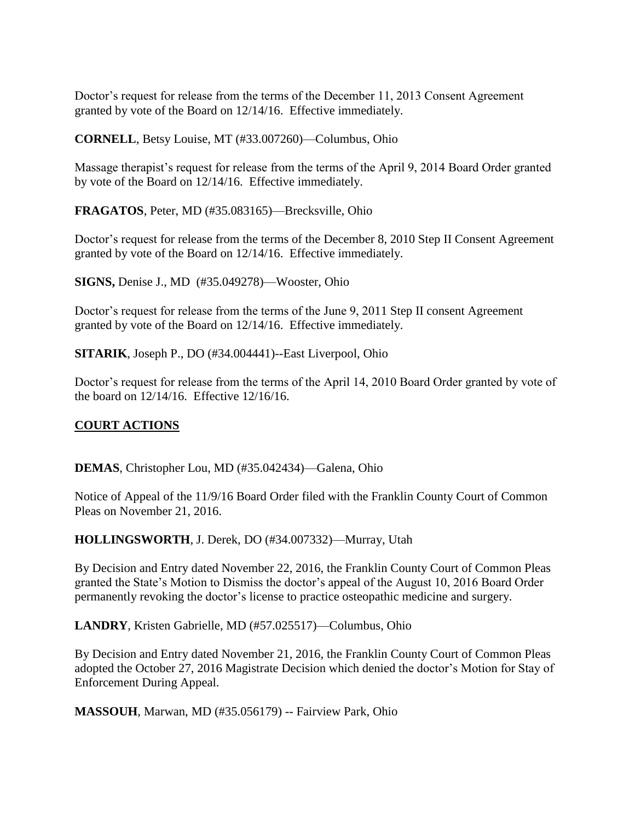Doctor's request for release from the terms of the December 11, 2013 Consent Agreement granted by vote of the Board on 12/14/16. Effective immediately.

**CORNELL**, Betsy Louise, MT (#33.007260)—Columbus, Ohio

Massage therapist's request for release from the terms of the April 9, 2014 Board Order granted by vote of the Board on 12/14/16. Effective immediately.

**FRAGATOS**, Peter, MD (#35.083165)—Brecksville, Ohio

Doctor's request for release from the terms of the December 8, 2010 Step II Consent Agreement granted by vote of the Board on 12/14/16. Effective immediately.

**SIGNS,** Denise J., MD (#35.049278)—Wooster, Ohio

Doctor's request for release from the terms of the June 9, 2011 Step II consent Agreement granted by vote of the Board on 12/14/16. Effective immediately.

**SITARIK**, Joseph P., DO (#34.004441)--East Liverpool, Ohio

Doctor's request for release from the terms of the April 14, 2010 Board Order granted by vote of the board on 12/14/16. Effective 12/16/16.

# **COURT ACTIONS**

**DEMAS**, Christopher Lou, MD (#35.042434)—Galena, Ohio

Notice of Appeal of the 11/9/16 Board Order filed with the Franklin County Court of Common Pleas on November 21, 2016.

**HOLLINGSWORTH**, J. Derek, DO (#34.007332)—Murray, Utah

By Decision and Entry dated November 22, 2016, the Franklin County Court of Common Pleas granted the State's Motion to Dismiss the doctor's appeal of the August 10, 2016 Board Order permanently revoking the doctor's license to practice osteopathic medicine and surgery.

**LANDRY**, Kristen Gabrielle, MD (#57.025517)—Columbus, Ohio

By Decision and Entry dated November 21, 2016, the Franklin County Court of Common Pleas adopted the October 27, 2016 Magistrate Decision which denied the doctor's Motion for Stay of Enforcement During Appeal.

**MASSOUH**, Marwan, MD (#35.056179) -- Fairview Park, Ohio